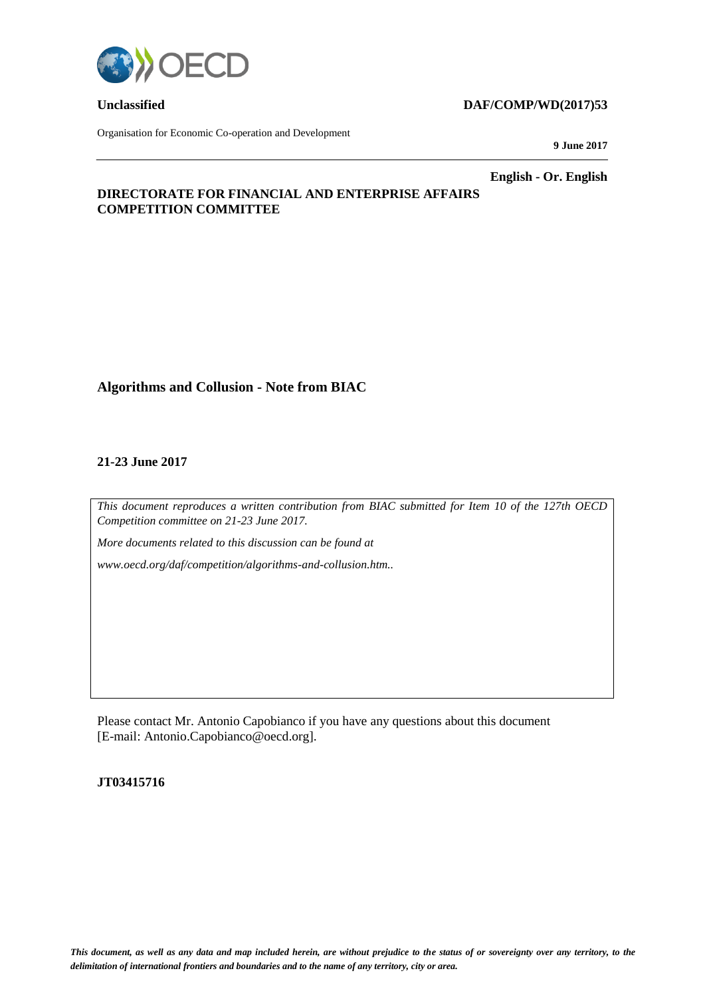

Organisation for Economic Co-operation and Development

### **Unclassified DAF/COMP/WD(2017)53**

**9 June 2017**

**English - Or. English**

# **DIRECTORATE FOR FINANCIAL AND ENTERPRISE AFFAIRS COMPETITION COMMITTEE**

# **Algorithms and Collusion - Note from BIAC**

### **21-23 June 2017**

*This document reproduces a written contribution from BIAC submitted for Item 10 of the 127th OECD Competition committee on 21-23 June 2017.*

*More documents related to this discussion can be found at* 

*www.oecd.org/daf/competition/algorithms-and-collusion.htm..*

Please contact Mr. Antonio Capobianco if you have any questions about this document [E-mail: Antonio.Capobianco@oecd.org].

### **JT03415716**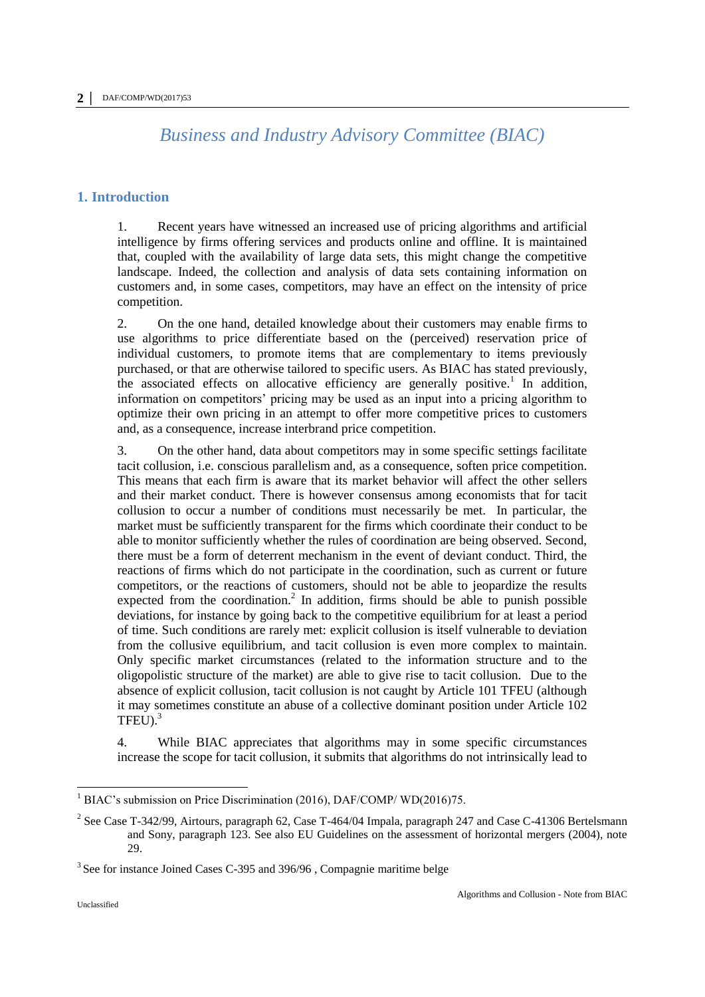# *Business and Industry Advisory Committee (BIAC)*

### **1. Introduction**

1. Recent years have witnessed an increased use of pricing algorithms and artificial intelligence by firms offering services and products online and offline. It is maintained that, coupled with the availability of large data sets, this might change the competitive landscape. Indeed, the collection and analysis of data sets containing information on customers and, in some cases, competitors, may have an effect on the intensity of price competition.

2. On the one hand, detailed knowledge about their customers may enable firms to use algorithms to price differentiate based on the (perceived) reservation price of individual customers, to promote items that are complementary to items previously purchased, or that are otherwise tailored to specific users. As BIAC has stated previously, the associated effects on allocative efficiency are generally positive.<sup>1</sup> In addition, information on competitors' pricing may be used as an input into a pricing algorithm to optimize their own pricing in an attempt to offer more competitive prices to customers and, as a consequence, increase interbrand price competition.

3. On the other hand, data about competitors may in some specific settings facilitate tacit collusion, i.e. conscious parallelism and, as a consequence, soften price competition. This means that each firm is aware that its market behavior will affect the other sellers and their market conduct. There is however consensus among economists that for tacit collusion to occur a number of conditions must necessarily be met. In particular, the market must be sufficiently transparent for the firms which coordinate their conduct to be able to monitor sufficiently whether the rules of coordination are being observed. Second, there must be a form of deterrent mechanism in the event of deviant conduct. Third, the reactions of firms which do not participate in the coordination, such as current or future competitors, or the reactions of customers, should not be able to jeopardize the results expected from the coordination.<sup>2</sup> In addition, firms should be able to punish possible deviations, for instance by going back to the competitive equilibrium for at least a period of time. Such conditions are rarely met: explicit collusion is itself vulnerable to deviation from the collusive equilibrium, and tacit collusion is even more complex to maintain. Only specific market circumstances (related to the information structure and to the oligopolistic structure of the market) are able to give rise to tacit collusion. Due to the absence of explicit collusion, tacit collusion is not caught by Article 101 TFEU (although it may sometimes constitute an abuse of a collective dominant position under Article 102  $TFEU$ ).<sup>3</sup>

4. While BIAC appreciates that algorithms may in some specific circumstances increase the scope for tacit collusion, it submits that algorithms do not intrinsically lead to

<sup>&</sup>lt;sup>1</sup> BIAC's submission on Price Discrimination (2016), DAF/COMP/ WD(2016)75.

<sup>&</sup>lt;sup>2</sup> See Case T-342/99, Airtours, paragraph 62, Case T-464/04 Impala, paragraph 247 and Case C-41306 Bertelsmann and Sony, paragraph 123. See also EU Guidelines on the assessment of horizontal mergers (2004), note 29.

<sup>&</sup>lt;sup>3</sup> See for instance Joined Cases C-395 and 396/96, Compagnie maritime belge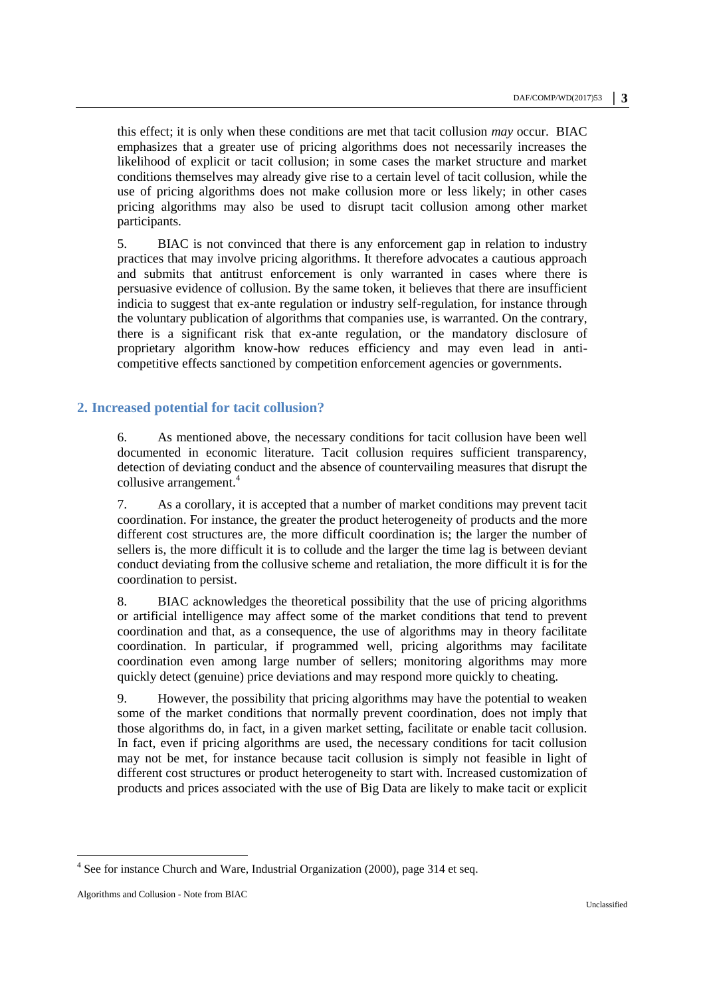this effect; it is only when these conditions are met that tacit collusion *may* occur. BIAC emphasizes that a greater use of pricing algorithms does not necessarily increases the likelihood of explicit or tacit collusion; in some cases the market structure and market conditions themselves may already give rise to a certain level of tacit collusion, while the use of pricing algorithms does not make collusion more or less likely; in other cases pricing algorithms may also be used to disrupt tacit collusion among other market participants.

5. BIAC is not convinced that there is any enforcement gap in relation to industry practices that may involve pricing algorithms. It therefore advocates a cautious approach and submits that antitrust enforcement is only warranted in cases where there is persuasive evidence of collusion. By the same token, it believes that there are insufficient indicia to suggest that ex-ante regulation or industry self-regulation, for instance through the voluntary publication of algorithms that companies use, is warranted. On the contrary, there is a significant risk that ex-ante regulation, or the mandatory disclosure of proprietary algorithm know-how reduces efficiency and may even lead in anticompetitive effects sanctioned by competition enforcement agencies or governments.

# **2. Increased potential for tacit collusion?**

6. As mentioned above, the necessary conditions for tacit collusion have been well documented in economic literature. Tacit collusion requires sufficient transparency, detection of deviating conduct and the absence of countervailing measures that disrupt the collusive arrangement.<sup>4</sup>

7. As a corollary, it is accepted that a number of market conditions may prevent tacit coordination. For instance, the greater the product heterogeneity of products and the more different cost structures are, the more difficult coordination is; the larger the number of sellers is, the more difficult it is to collude and the larger the time lag is between deviant conduct deviating from the collusive scheme and retaliation, the more difficult it is for the coordination to persist.

8. BIAC acknowledges the theoretical possibility that the use of pricing algorithms or artificial intelligence may affect some of the market conditions that tend to prevent coordination and that, as a consequence, the use of algorithms may in theory facilitate coordination. In particular, if programmed well, pricing algorithms may facilitate coordination even among large number of sellers; monitoring algorithms may more quickly detect (genuine) price deviations and may respond more quickly to cheating.

9. However, the possibility that pricing algorithms may have the potential to weaken some of the market conditions that normally prevent coordination, does not imply that those algorithms do, in fact, in a given market setting, facilitate or enable tacit collusion. In fact, even if pricing algorithms are used, the necessary conditions for tacit collusion may not be met, for instance because tacit collusion is simply not feasible in light of different cost structures or product heterogeneity to start with. Increased customization of products and prices associated with the use of Big Data are likely to make tacit or explicit

 $\overline{a}$ <sup>4</sup> See for instance Church and Ware, Industrial Organization (2000), page 314 et seq.

Algorithms and Collusion - Note from BIAC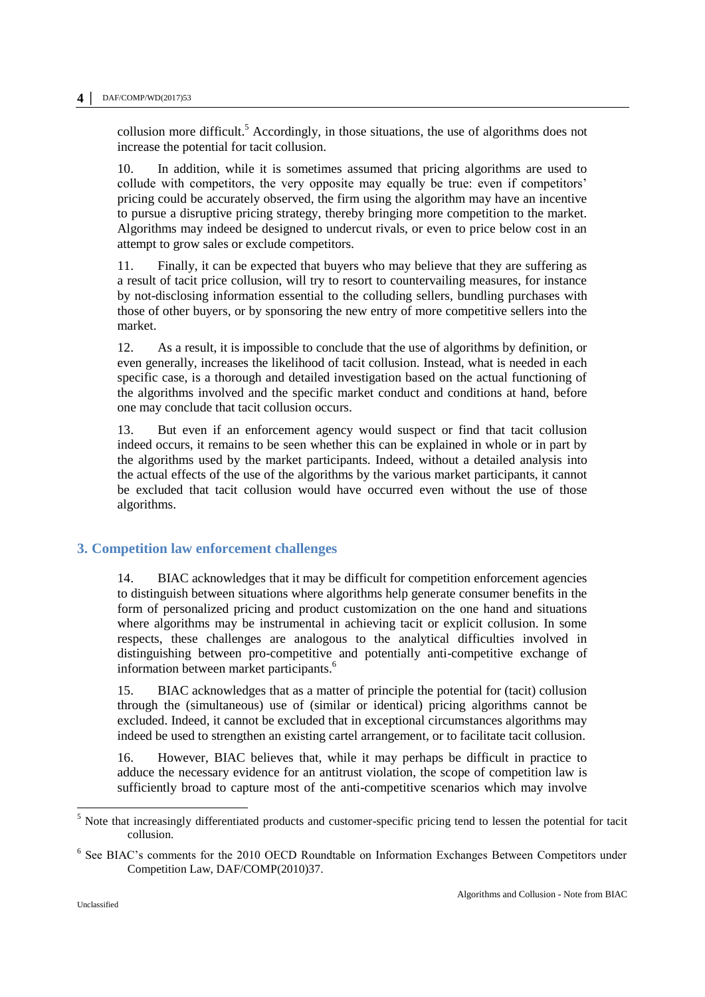collusion more difficult.<sup>5</sup> Accordingly, in those situations, the use of algorithms does not increase the potential for tacit collusion.

10. In addition, while it is sometimes assumed that pricing algorithms are used to collude with competitors, the very opposite may equally be true: even if competitors' pricing could be accurately observed, the firm using the algorithm may have an incentive to pursue a disruptive pricing strategy, thereby bringing more competition to the market. Algorithms may indeed be designed to undercut rivals, or even to price below cost in an attempt to grow sales or exclude competitors.

11. Finally, it can be expected that buyers who may believe that they are suffering as a result of tacit price collusion, will try to resort to countervailing measures, for instance by not-disclosing information essential to the colluding sellers, bundling purchases with those of other buyers, or by sponsoring the new entry of more competitive sellers into the market.

12. As a result, it is impossible to conclude that the use of algorithms by definition, or even generally, increases the likelihood of tacit collusion. Instead, what is needed in each specific case, is a thorough and detailed investigation based on the actual functioning of the algorithms involved and the specific market conduct and conditions at hand, before one may conclude that tacit collusion occurs.

13. But even if an enforcement agency would suspect or find that tacit collusion indeed occurs, it remains to be seen whether this can be explained in whole or in part by the algorithms used by the market participants. Indeed, without a detailed analysis into the actual effects of the use of the algorithms by the various market participants, it cannot be excluded that tacit collusion would have occurred even without the use of those algorithms.

# **3. Competition law enforcement challenges**

14. BIAC acknowledges that it may be difficult for competition enforcement agencies to distinguish between situations where algorithms help generate consumer benefits in the form of personalized pricing and product customization on the one hand and situations where algorithms may be instrumental in achieving tacit or explicit collusion. In some respects, these challenges are analogous to the analytical difficulties involved in distinguishing between pro-competitive and potentially anti-competitive exchange of information between market participants.<sup>6</sup>

15. BIAC acknowledges that as a matter of principle the potential for (tacit) collusion through the (simultaneous) use of (similar or identical) pricing algorithms cannot be excluded. Indeed, it cannot be excluded that in exceptional circumstances algorithms may indeed be used to strengthen an existing cartel arrangement, or to facilitate tacit collusion.

16. However, BIAC believes that, while it may perhaps be difficult in practice to adduce the necessary evidence for an antitrust violation, the scope of competition law is sufficiently broad to capture most of the anti-competitive scenarios which may involve

 $\overline{a}$ 

<sup>&</sup>lt;sup>5</sup> Note that increasingly differentiated products and customer-specific pricing tend to lessen the potential for tacit collusion.

<sup>&</sup>lt;sup>6</sup> See BIAC's comments for the 2010 OECD Roundtable on Information Exchanges Between Competitors under Competition Law, DAF/COMP(2010)37.